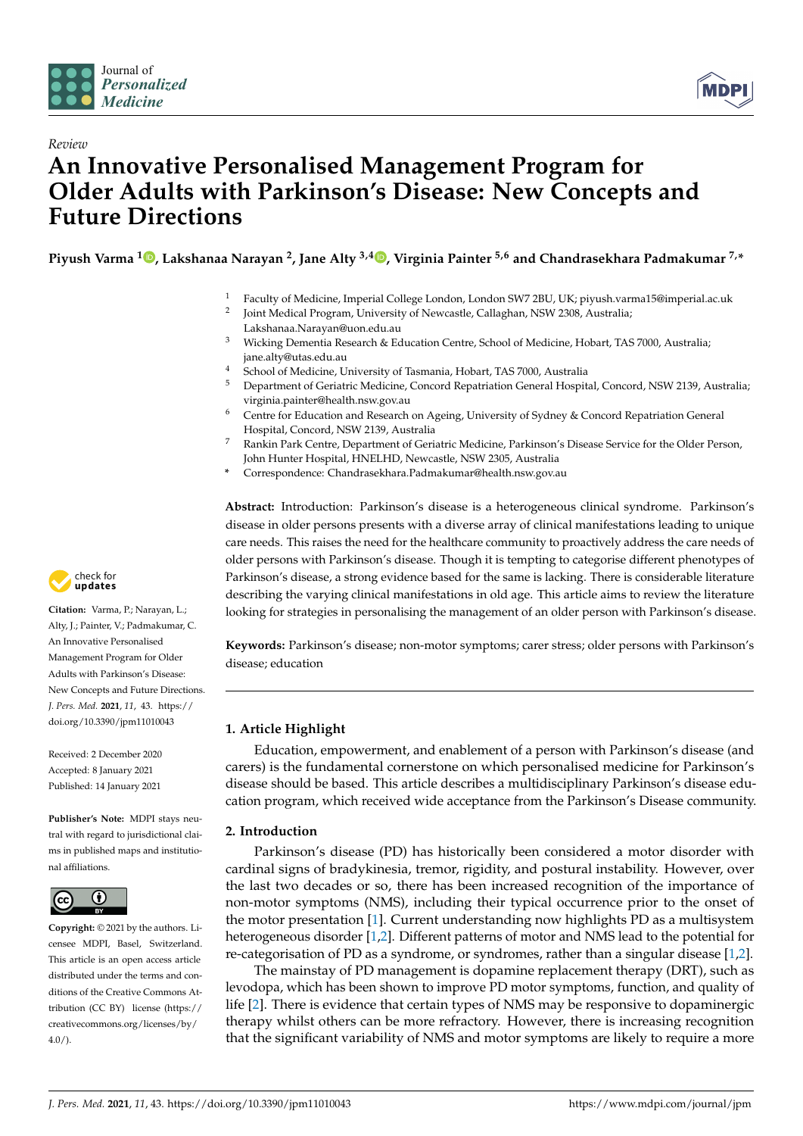



# *Review* **An Innovative Personalised Management Program for Older Adults with Parkinson's Disease: New Concepts and Future Directions**

**Piyush Varma <sup>1</sup> [,](https://orcid.org/0000-0002-8135-7700) Lakshanaa Narayan <sup>2</sup> , Jane Alty 3,4 [,](https://orcid.org/0000-0002-5456-8676) Virginia Painter 5,6 and Chandrasekhara Padmakumar 7,\***

- <sup>1</sup> Faculty of Medicine, Imperial College London, London SW7 2BU, UK; piyush.varma15@imperial.ac.uk
- 2 Joint Medical Program, University of Newcastle, Callaghan, NSW 2308, Australia; Lakshanaa.Narayan@uon.edu.au
- <sup>3</sup> Wicking Dementia Research & Education Centre, School of Medicine, Hobart, TAS 7000, Australia; jane.alty@utas.edu.au
- <sup>4</sup> School of Medicine, University of Tasmania, Hobart, TAS 7000, Australia
- <sup>5</sup> Department of Geriatric Medicine, Concord Repatriation General Hospital, Concord, NSW 2139, Australia; virginia.painter@health.nsw.gov.au
- <sup>6</sup> Centre for Education and Research on Ageing, University of Sydney & Concord Repatriation General Hospital, Concord, NSW 2139, Australia
- <sup>7</sup> Rankin Park Centre, Department of Geriatric Medicine, Parkinson's Disease Service for the Older Person, John Hunter Hospital, HNELHD, Newcastle, NSW 2305, Australia
- **\*** Correspondence: Chandrasekhara.Padmakumar@health.nsw.gov.au

**Abstract:** Introduction: Parkinson's disease is a heterogeneous clinical syndrome. Parkinson's disease in older persons presents with a diverse array of clinical manifestations leading to unique care needs. This raises the need for the healthcare community to proactively address the care needs of older persons with Parkinson's disease. Though it is tempting to categorise different phenotypes of Parkinson's disease, a strong evidence based for the same is lacking. There is considerable literature describing the varying clinical manifestations in old age. This article aims to review the literature looking for strategies in personalising the management of an older person with Parkinson's disease.

**Keywords:** Parkinson's disease; non-motor symptoms; carer stress; older persons with Parkinson's disease; education

# **1. Article Highlight**

Education, empowerment, and enablement of a person with Parkinson's disease (and carers) is the fundamental cornerstone on which personalised medicine for Parkinson's disease should be based. This article describes a multidisciplinary Parkinson's disease education program, which received wide acceptance from the Parkinson's Disease community.

## **2. Introduction**

Parkinson's disease (PD) has historically been considered a motor disorder with cardinal signs of bradykinesia, tremor, rigidity, and postural instability. However, over the last two decades or so, there has been increased recognition of the importance of non-motor symptoms (NMS), including their typical occurrence prior to the onset of the motor presentation [\[1\]](#page-6-0). Current understanding now highlights PD as a multisystem heterogeneous disorder [\[1](#page-6-0)[,2\]](#page-6-1). Different patterns of motor and NMS lead to the potential for re-categorisation of PD as a syndrome, or syndromes, rather than a singular disease [\[1](#page-6-0)[,2\]](#page-6-1).

The mainstay of PD management is dopamine replacement therapy (DRT), such as levodopa, which has been shown to improve PD motor symptoms, function, and quality of life [\[2\]](#page-6-1). There is evidence that certain types of NMS may be responsive to dopaminergic therapy whilst others can be more refractory. However, there is increasing recognition that the significant variability of NMS and motor symptoms are likely to require a more



**Citation:** Varma, P.; Narayan, L.; Alty, J.; Painter, V.; Padmakumar, C. An Innovative Personalised Management Program for Older Adults with Parkinson's Disease: New Concepts and Future Directions. *J. Pers. Med.* **2021**, *11*, 43. [https://](https://doi.org/10.3390/jpm11010043) [doi.org/10.3390/jpm11010043](https://doi.org/10.3390/jpm11010043)

Received: 2 December 2020 Accepted: 8 January 2021 Published: 14 January 2021

**Publisher's Note:** MDPI stays neutral with regard to jurisdictional claims in published maps and institutional affiliations.



**Copyright:** © 2021 by the authors. Licensee MDPI, Basel, Switzerland. This article is an open access article distributed under the terms and conditions of the Creative Commons Attribution (CC BY) license [\(https://](https://creativecommons.org/licenses/by/4.0/) [creativecommons.org/licenses/by/](https://creativecommons.org/licenses/by/4.0/)  $4.0/$ ).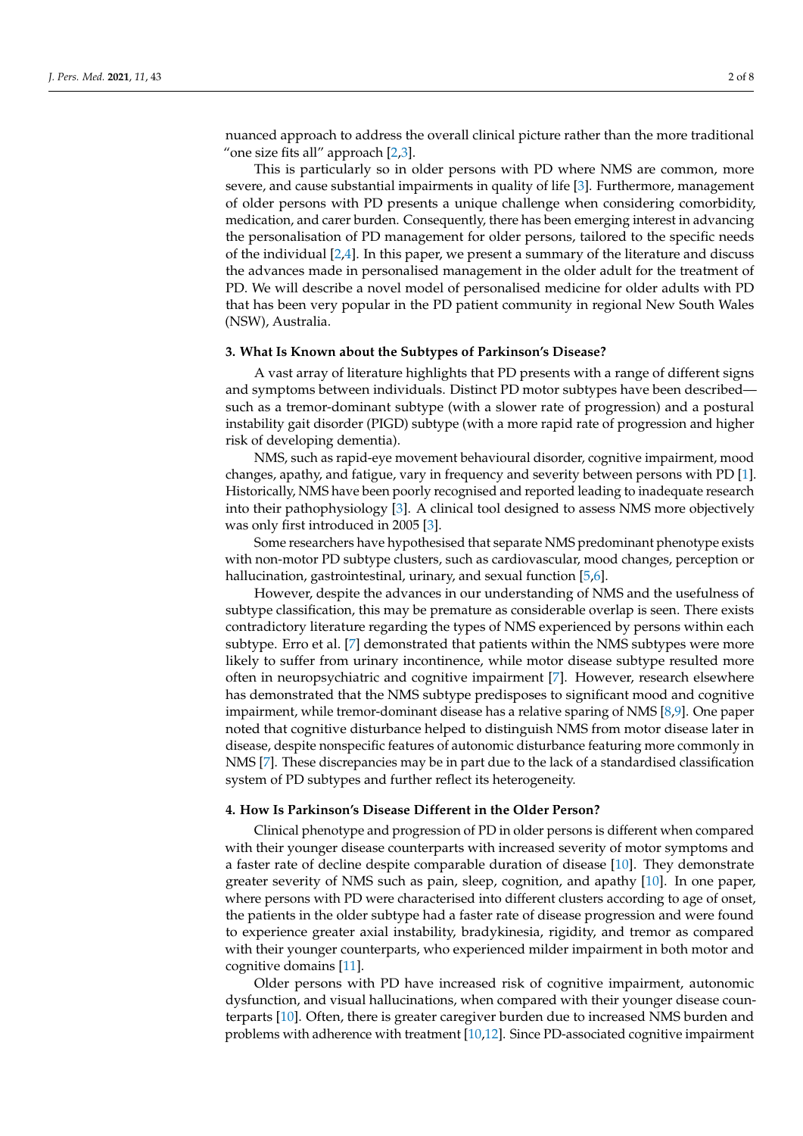nuanced approach to address the overall clinical picture rather than the more traditional "one size fits all" approach [\[2](#page-6-1)[,3\]](#page-6-2).

This is particularly so in older persons with PD where NMS are common, more severe, and cause substantial impairments in quality of life [\[3\]](#page-6-2). Furthermore, management of older persons with PD presents a unique challenge when considering comorbidity, medication, and carer burden. Consequently, there has been emerging interest in advancing the personalisation of PD management for older persons, tailored to the specific needs of the individual [\[2,](#page-6-1)[4\]](#page-6-3). In this paper, we present a summary of the literature and discuss the advances made in personalised management in the older adult for the treatment of PD. We will describe a novel model of personalised medicine for older adults with PD that has been very popular in the PD patient community in regional New South Wales (NSW), Australia.

#### **3. What Is Known about the Subtypes of Parkinson's Disease?**

A vast array of literature highlights that PD presents with a range of different signs and symptoms between individuals. Distinct PD motor subtypes have been described such as a tremor-dominant subtype (with a slower rate of progression) and a postural instability gait disorder (PIGD) subtype (with a more rapid rate of progression and higher risk of developing dementia).

NMS, such as rapid-eye movement behavioural disorder, cognitive impairment, mood changes, apathy, and fatigue, vary in frequency and severity between persons with PD [\[1\]](#page-6-0). Historically, NMS have been poorly recognised and reported leading to inadequate research into their pathophysiology [\[3\]](#page-6-2). A clinical tool designed to assess NMS more objectively was only first introduced in 2005 [\[3\]](#page-6-2).

Some researchers have hypothesised that separate NMS predominant phenotype exists with non-motor PD subtype clusters, such as cardiovascular, mood changes, perception or hallucination, gastrointestinal, urinary, and sexual function [\[5](#page-6-4)[,6\]](#page-6-5).

However, despite the advances in our understanding of NMS and the usefulness of subtype classification, this may be premature as considerable overlap is seen. There exists contradictory literature regarding the types of NMS experienced by persons within each subtype. Erro et al. [\[7\]](#page-6-6) demonstrated that patients within the NMS subtypes were more likely to suffer from urinary incontinence, while motor disease subtype resulted more often in neuropsychiatric and cognitive impairment [\[7\]](#page-6-6). However, research elsewhere has demonstrated that the NMS subtype predisposes to significant mood and cognitive impairment, while tremor-dominant disease has a relative sparing of NMS [\[8](#page-6-7)[,9\]](#page-6-8). One paper noted that cognitive disturbance helped to distinguish NMS from motor disease later in disease, despite nonspecific features of autonomic disturbance featuring more commonly in NMS [\[7\]](#page-6-6). These discrepancies may be in part due to the lack of a standardised classification system of PD subtypes and further reflect its heterogeneity.

#### **4. How Is Parkinson's Disease Different in the Older Person?**

Clinical phenotype and progression of PD in older persons is different when compared with their younger disease counterparts with increased severity of motor symptoms and a faster rate of decline despite comparable duration of disease [\[10\]](#page-6-9). They demonstrate greater severity of NMS such as pain, sleep, cognition, and apathy [\[10\]](#page-6-9). In one paper, where persons with PD were characterised into different clusters according to age of onset, the patients in the older subtype had a faster rate of disease progression and were found to experience greater axial instability, bradykinesia, rigidity, and tremor as compared with their younger counterparts, who experienced milder impairment in both motor and cognitive domains [\[11\]](#page-6-10).

Older persons with PD have increased risk of cognitive impairment, autonomic dysfunction, and visual hallucinations, when compared with their younger disease counterparts [\[10\]](#page-6-9). Often, there is greater caregiver burden due to increased NMS burden and problems with adherence with treatment [\[10,](#page-6-9)[12\]](#page-6-11). Since PD-associated cognitive impairment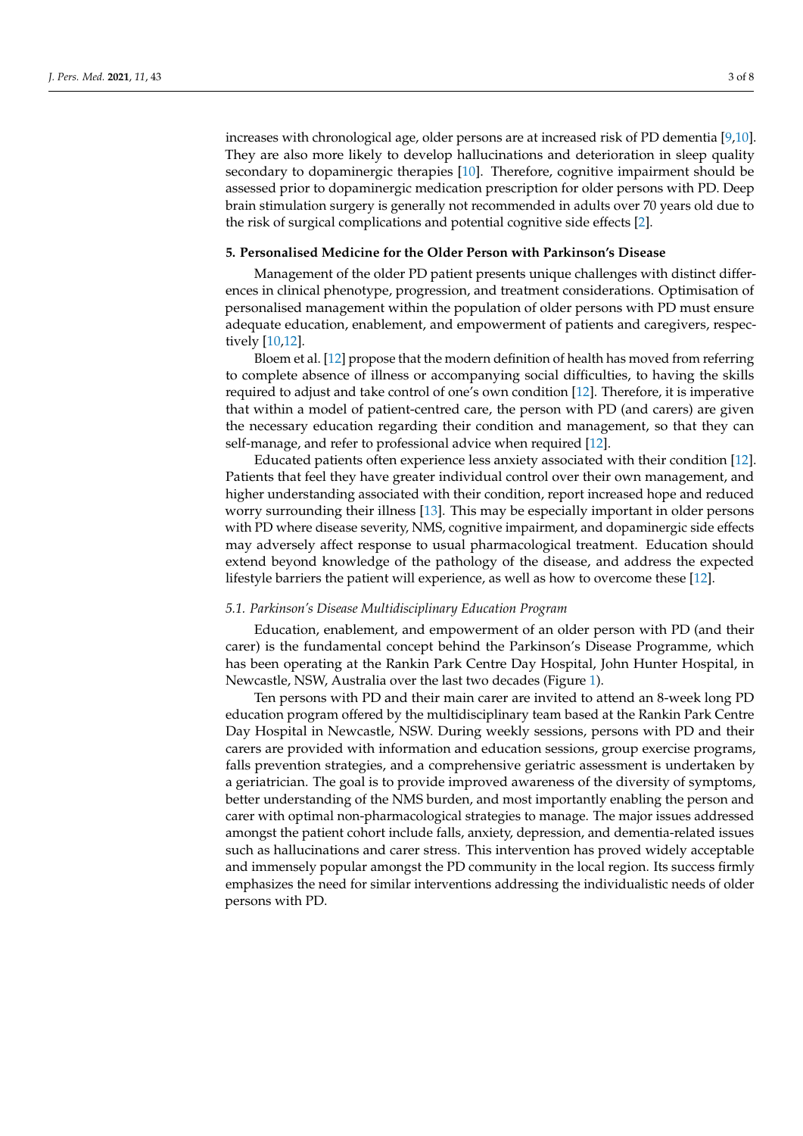increases with chronological age, older persons are at increased risk of PD dementia [\[9](#page-6-8)[,10\]](#page-6-9). They are also more likely to develop hallucinations and deterioration in sleep quality secondary to dopaminergic therapies [\[10\]](#page-6-9). Therefore, cognitive impairment should be assessed prior to dopaminergic medication prescription for older persons with PD. Deep brain stimulation surgery is generally not recommended in adults over 70 years old due to the risk of surgical complications and potential cognitive side effects [\[2\]](#page-6-1).

#### **5. Personalised Medicine for the Older Person with Parkinson's Disease**

Management of the older PD patient presents unique challenges with distinct differences in clinical phenotype, progression, and treatment considerations. Optimisation of personalised management within the population of older persons with PD must ensure adequate education, enablement, and empowerment of patients and caregivers, respectively [\[10,](#page-6-9)[12\]](#page-6-11).

Bloem et al. [\[12\]](#page-6-11) propose that the modern definition of health has moved from referring to complete absence of illness or accompanying social difficulties, to having the skills required to adjust and take control of one's own condition [\[12\]](#page-6-11). Therefore, it is imperative that within a model of patient-centred care, the person with PD (and carers) are given the necessary education regarding their condition and management, so that they can self-manage, and refer to professional advice when required [\[12\]](#page-6-11).

Educated patients often experience less anxiety associated with their condition [\[12\]](#page-6-11). Patients that feel they have greater individual control over their own management, and higher understanding associated with their condition, report increased hope and reduced worry surrounding their illness [\[13\]](#page-6-12). This may be especially important in older persons with PD where disease severity, NMS, cognitive impairment, and dopaminergic side effects may adversely affect response to usual pharmacological treatment. Education should extend beyond knowledge of the pathology of the disease, and address the expected lifestyle barriers the patient will experience, as well as how to overcome these [\[12\]](#page-6-11).

#### *5.1. Parkinson's Disease Multidisciplinary Education Program*

Education, enablement, and empowerment of an older person with PD (and their carer) is the fundamental concept behind the Parkinson's Disease Programme, which has been operating at the Rankin Park Centre Day Hospital, John Hunter Hospital, in Newcastle, NSW, Australia over the last two decades (Figure [1\)](#page-3-0).

Ten persons with PD and their main carer are invited to attend an 8-week long PD education program offered by the multidisciplinary team based at the Rankin Park Centre Day Hospital in Newcastle, NSW. During weekly sessions, persons with PD and their carers are provided with information and education sessions, group exercise programs, falls prevention strategies, and a comprehensive geriatric assessment is undertaken by a geriatrician. The goal is to provide improved awareness of the diversity of symptoms, better understanding of the NMS burden, and most importantly enabling the person and carer with optimal non-pharmacological strategies to manage. The major issues addressed amongst the patient cohort include falls, anxiety, depression, and dementia-related issues such as hallucinations and carer stress. This intervention has proved widely acceptable and immensely popular amongst the PD community in the local region. Its success firmly emphasizes the need for similar interventions addressing the individualistic needs of older persons with PD.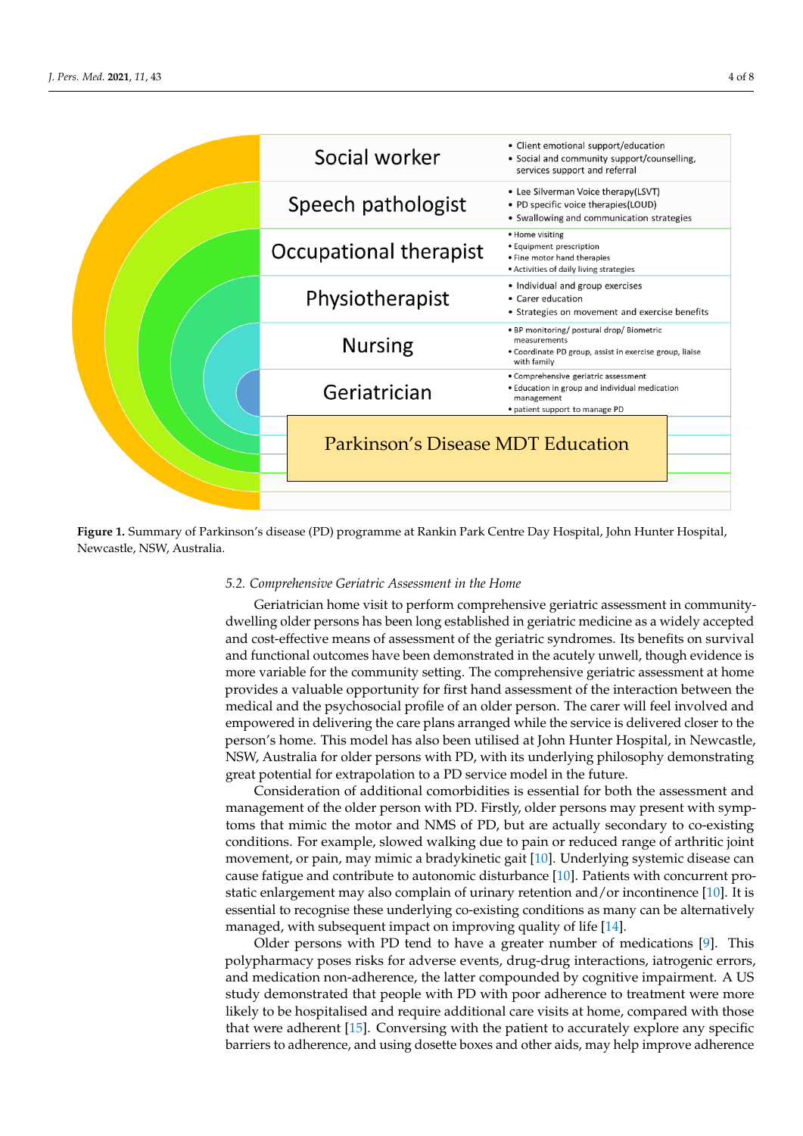<span id="page-3-0"></span>

Figure 1. Summary of Parkinson's disease (PD) programme at Rankin Park Centre Day Hospital, John Hunter Hospital, Newcastle, NSW, Australia. Newcastle, NSW, Australia.

## Ten persons consisting a consequent in the House 5.2. Comprehensive Geriatric Assessment in the Home<br>*5.2. Comprehensive Geriatric Assessment in the Home*

Geriatrician home visit to perform comprehensive geriatric assessment in communitydwelling older persons has been long established in geriatric medicine as a widely accepted and cost-effective means of assessment of the geriatric syndromes. Its benefits on survival and functional outcomes have been demonstrated in the acutely unwell, though evidence is and functional outcomes have been demonstrated in the acutely unwell, though evidence is more variable for the community setting. The comprehensive geriatric assessment at home provides a valuable opportunity for first hand assessment of the interaction between the material strategies to material strategies with the material strategies of the interaction between the material strategies of the mat medical and the psychosocial profile of an older person. The carer will feel involved and the psychosocial profile of an older person. The carer will feel involved and empowered in delivering the care plans arranged while the service is delivered closer to the<br>regard's harmor This medal has also harm utilized at Jake Hunter Harmital in Mauscathe  $\alpha$  is the popular among the PD community in the local region of  $\alpha$  region. It is such that  $\alpha$  region is such that  $\alpha$ NSW, Australia for older persons with PD, with its underlying philosophy demonstrating one that in the future person's home. This model has also been utilised at John Hunter Hospital, in Newcastle, great potential for extrapolation to a PD service model in the future.

Consideration of additional comorbidities is essential for both the assessment and *Franklightent* of the otter person which *BYTHStryf* otter persons may present which stup conditions. For example, slowed walking due to pain or reduced range of arthritic joint movement, or pain, may mimic a bradykinetic gait [\[10\]](#page-6-9). Underlying systemic disease can cause fatigue and contribute to autonomic disturbance [\[10\]](#page-6-9). Patients with concurrent prostatic enlargement may also complain of urinary retention and/or incontinence [10]. It is essential to recognise these underlying co-existing conditions as many can be alternatively managed, with subsequent impact on improving quality of life [14]. management of the older person with PD. Firstly, older persons may present with symp-

Older persons with PD tend to have a greater number of medications [9]. [Th](#page-6-8)is polypharmacy poses risks for adverse events, drug-drug interactions, iatrogenic errors, and medication non-adherence, the latter compounded by cognitive impairment. A US study demonstrated that people with PD with poor adherence to treatment were more likely to be hospitalised and require additional care visits at home, compared with those that were adherent [\[15\]](#page-7-0). Conversing with the patient to accurately explore any specific barriers to adherence, and using dosette boxes and other aids, may help improve adherence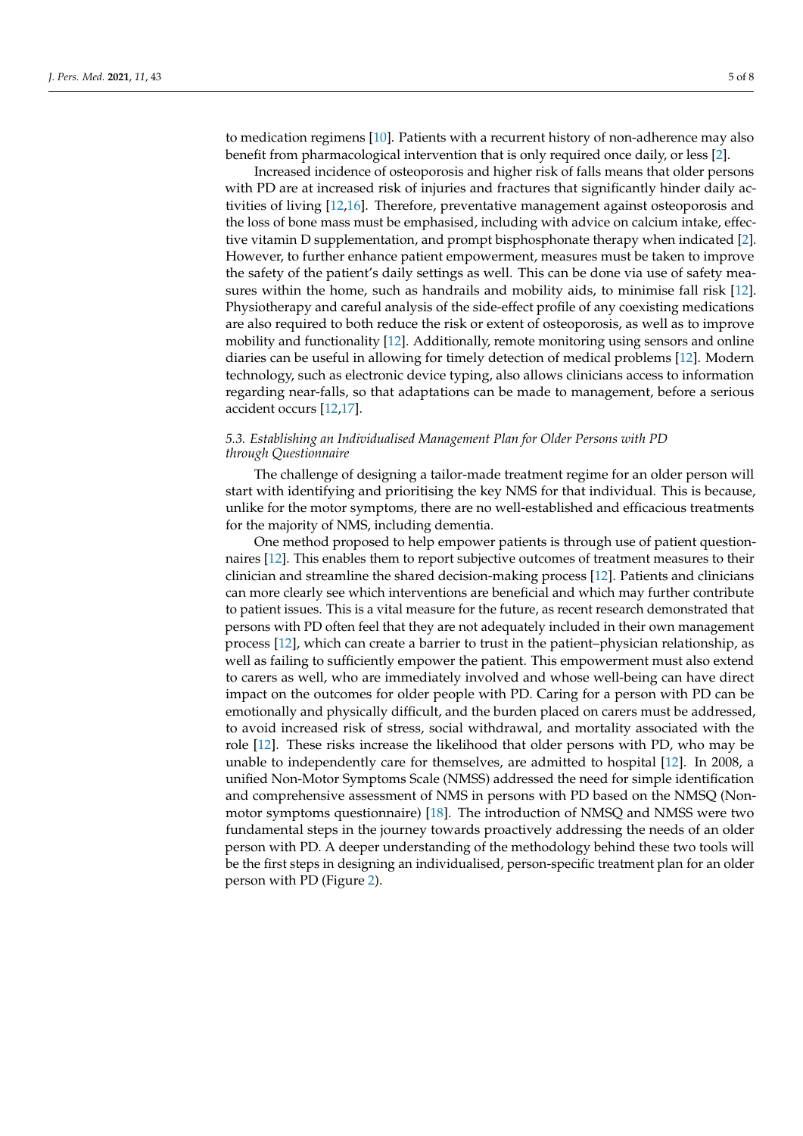to medication regimens [\[10\]](#page-6-9). Patients with a recurrent history of non-adherence may also benefit from pharmacological intervention that is only required once daily, or less [\[2\]](#page-6-1).

Increased incidence of osteoporosis and higher risk of falls means that older persons with PD are at increased risk of injuries and fractures that significantly hinder daily activities of living [\[12](#page-6-11)[,16\]](#page-7-1). Therefore, preventative management against osteoporosis and the loss of bone mass must be emphasised, including with advice on calcium intake, effective vitamin D supplementation, and prompt bisphosphonate therapy when indicated [\[2\]](#page-6-1). However, to further enhance patient empowerment, measures must be taken to improve the safety of the patient's daily settings as well. This can be done via use of safety measures within the home, such as handrails and mobility aids, to minimise fall risk [\[12\]](#page-6-11). Physiotherapy and careful analysis of the side-effect profile of any coexisting medications are also required to both reduce the risk or extent of osteoporosis, as well as to improve mobility and functionality [\[12\]](#page-6-11). Additionally, remote monitoring using sensors and online diaries can be useful in allowing for timely detection of medical problems [\[12\]](#page-6-11). Modern technology, such as electronic device typing, also allows clinicians access to information regarding near-falls, so that adaptations can be made to management, before a serious accident occurs [\[12,](#page-6-11)[17\]](#page-7-2).

## *5.3. Establishing an Individualised Management Plan for Older Persons with PD through Questionnaire*

The challenge of designing a tailor-made treatment regime for an older person will start with identifying and prioritising the key NMS for that individual. This is because, unlike for the motor symptoms, there are no well-established and efficacious treatments for the majority of NMS, including dementia.

One method proposed to help empower patients is through use of patient questionnaires [\[12\]](#page-6-11). This enables them to report subjective outcomes of treatment measures to their clinician and streamline the shared decision-making process [\[12\]](#page-6-11). Patients and clinicians can more clearly see which interventions are beneficial and which may further contribute to patient issues. This is a vital measure for the future, as recent research demonstrated that persons with PD often feel that they are not adequately included in their own management process [\[12\]](#page-6-11), which can create a barrier to trust in the patient–physician relationship, as well as failing to sufficiently empower the patient. This empowerment must also extend to carers as well, who are immediately involved and whose well-being can have direct impact on the outcomes for older people with PD. Caring for a person with PD can be emotionally and physically difficult, and the burden placed on carers must be addressed, to avoid increased risk of stress, social withdrawal, and mortality associated with the role [\[12\]](#page-6-11). These risks increase the likelihood that older persons with PD, who may be unable to independently care for themselves, are admitted to hospital [\[12\]](#page-6-11). In 2008, a unified Non-Motor Symptoms Scale (NMSS) addressed the need for simple identification and comprehensive assessment of NMS in persons with PD based on the NMSQ (Nonmotor symptoms questionnaire) [\[18\]](#page-7-3). The introduction of NMSQ and NMSS were two fundamental steps in the journey towards proactively addressing the needs of an older person with PD. A deeper understanding of the methodology behind these two tools will be the first steps in designing an individualised, person-specific treatment plan for an older person with PD (Figure [2\)](#page-5-0).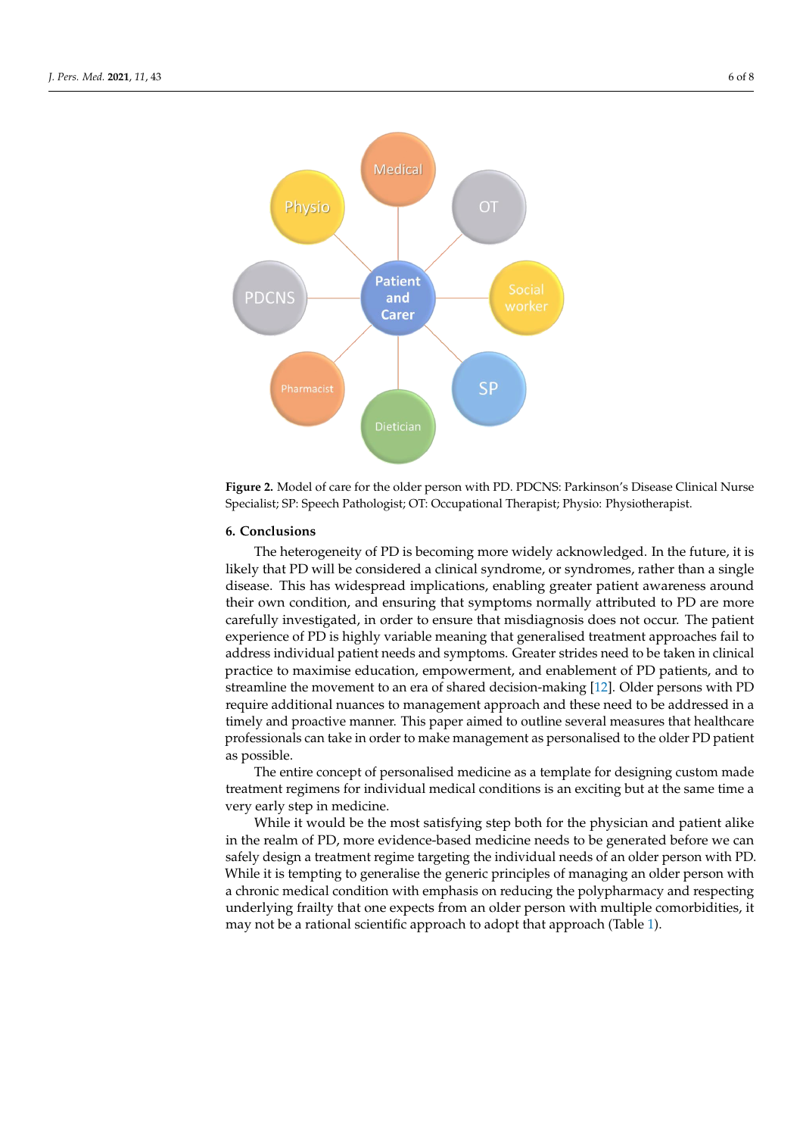<span id="page-5-0"></span>

first steps in designing an individualised, person-specific treatment plan for an older per-

**Figure 2.** Model of care for the older person with PD. PDCNS: Parkinson's Disease Clinical Nurse **Figure 2.** Model of care for the older person with PD. PDCNS: Parkinson's Disease Clinical Nurse Specialist; SP: Speech Pathologist; OT: Occupational Therapist; Physio: Physiotherapist. Specialist; SP: Speech Pathologist; OT: Occupational Therapist; Physio: Physiotherapist.

### **6. Conclusions 6. Conclusions**

The heterogeneity of PD is becoming more widely acknowledged. In the future, it is The heterogeneity of PD is becoming more widely acknowledged. In the future, it is likely that PD will be considered a clinical syndrome, or syndromes, rather than a single likely that PD will be considered a clinical syndrome, or syndromes, rather than a single disease. This has widespread implications, enabling greater patient awareness around disease. This has widespread implications, enabling greater patient awareness around their own condition, and ensuring that symptoms normally attributed to PD are more their own condition, and ensuring that symptoms normally attributed to PD are more carefully investigated, in order to ensure that misdiagnosis does not occur. The patient experience of PD is highly variable meaning that generalised treatment approaches fail to experience of PD is highly variable meaning that generalised treatment approaches fail to address individual patient needs and symptoms. Greater strides need to be taken in clinical ical practice to maximise education, empowerment, and enablement of PD patients, and practice to maximise education, empowerment, and enablement of PD patients, and to streamline the movement to an era of shared decision-making [\[12\]](#page-6-11). Older persons with PD require additional nuances to management approach and these need to be addressed in a in a timely and proactive manner. This paper aimed to outline several measures that timely and proactive manner. This paper aimed to outline several measures that healthcare professionals can take in order to make management as personalised to the older PD patient as possible.

The entire concept of personalised medicine as a template for designing custom made The entire concept of personalised medicine as a template for designing custom made treatment regimens for individual medical conditions is an exciting but at the same time treatment regimens for individual medical conditions is an exciting but at the same time a a very early step in medicine. very early step in medicine.

While it would be the most satisfying step both for the physician and patient alike in the realm of PD, more evidence-based medicine needs to be generated before we can  $\overline{1}$ safely design a treatment regime targeting the individual needs of an older person with safely design a treatment regime targeting the individual needs of an older person with PD. While it is tempting to generalise the generic principles of managing an older person with a chronic medical condition with emphasis on reducing the polypharmacy and respecting underlying frailty that one expects from an older person with multiple comorbidities, it may not be a rational scientific approach to adopt that approach (Table [1\)](#page-6-14).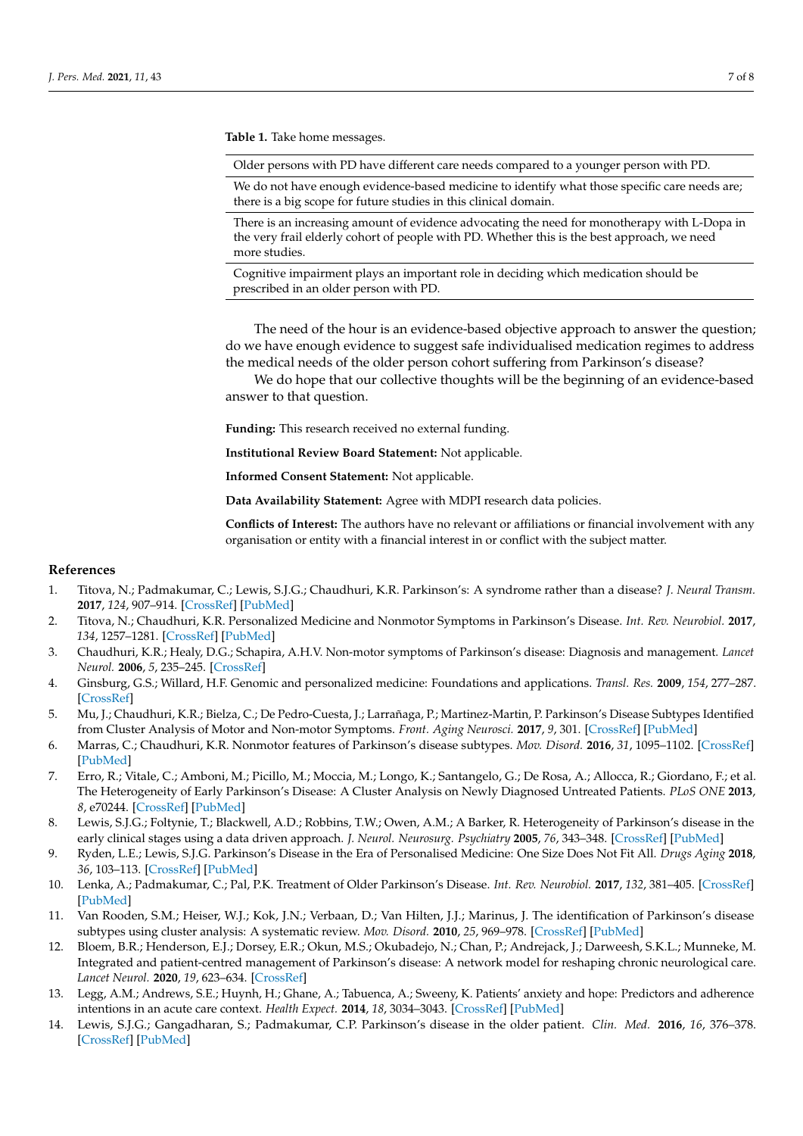<span id="page-6-14"></span>**Table 1.** Take home messages.

Older persons with PD have different care needs compared to a younger person with PD.

We do not have enough evidence-based medicine to identify what those specific care needs are; there is a big scope for future studies in this clinical domain.

There is an increasing amount of evidence advocating the need for monotherapy with L-Dopa in the very frail elderly cohort of people with PD. Whether this is the best approach, we need more studies.

Cognitive impairment plays an important role in deciding which medication should be prescribed in an older person with PD.

The need of the hour is an evidence-based objective approach to answer the question; do we have enough evidence to suggest safe individualised medication regimes to address the medical needs of the older person cohort suffering from Parkinson's disease?

We do hope that our collective thoughts will be the beginning of an evidence-based answer to that question.

**Funding:** This research received no external funding.

**Institutional Review Board Statement:** Not applicable.

**Informed Consent Statement:** Not applicable.

**Data Availability Statement:** Agree with MDPI research data policies.

**Conflicts of Interest:** The authors have no relevant or affiliations or financial involvement with any organisation or entity with a financial interest in or conflict with the subject matter.

#### **References**

- <span id="page-6-0"></span>1. Titova, N.; Padmakumar, C.; Lewis, S.J.G.; Chaudhuri, K.R. Parkinson's: A syndrome rather than a disease? *J. Neural Transm.* **2017**, *124*, 907–914. [\[CrossRef\]](http://doi.org/10.1007/s00702-016-1667-6) [\[PubMed\]](http://www.ncbi.nlm.nih.gov/pubmed/28028643)
- <span id="page-6-1"></span>2. Titova, N.; Chaudhuri, K.R. Personalized Medicine and Nonmotor Symptoms in Parkinson's Disease. *Int. Rev. Neurobiol.* **2017**, *134*, 1257–1281. [\[CrossRef\]](http://doi.org/10.1016/bs.irn.2017.05.015) [\[PubMed\]](http://www.ncbi.nlm.nih.gov/pubmed/28805572)
- <span id="page-6-2"></span>3. Chaudhuri, K.R.; Healy, D.G.; Schapira, A.H.V. Non-motor symptoms of Parkinson's disease: Diagnosis and management. *Lancet Neurol.* **2006**, *5*, 235–245. [\[CrossRef\]](http://doi.org/10.1016/S1474-4422(06)70373-8)
- <span id="page-6-3"></span>4. Ginsburg, G.S.; Willard, H.F. Genomic and personalized medicine: Foundations and applications. *Transl. Res.* **2009**, *154*, 277–287. [\[CrossRef\]](http://doi.org/10.1016/j.trsl.2009.09.005)
- <span id="page-6-4"></span>5. Mu, J.; Chaudhuri, K.R.; Bielza, C.; De Pedro-Cuesta, J.; Larrañaga, P.; Martinez-Martin, P. Parkinson's Disease Subtypes Identified from Cluster Analysis of Motor and Non-motor Symptoms. *Front. Aging Neurosci.* **2017**, *9*, 301. [\[CrossRef\]](http://doi.org/10.3389/fnagi.2017.00301) [\[PubMed\]](http://www.ncbi.nlm.nih.gov/pubmed/28979203)
- <span id="page-6-5"></span>6. Marras, C.; Chaudhuri, K.R. Nonmotor features of Parkinson's disease subtypes. *Mov. Disord.* **2016**, *31*, 1095–1102. [\[CrossRef\]](http://doi.org/10.1002/mds.26510) [\[PubMed\]](http://www.ncbi.nlm.nih.gov/pubmed/26861861)
- <span id="page-6-6"></span>7. Erro, R.; Vitale, C.; Amboni, M.; Picillo, M.; Moccia, M.; Longo, K.; Santangelo, G.; De Rosa, A.; Allocca, R.; Giordano, F.; et al. The Heterogeneity of Early Parkinson's Disease: A Cluster Analysis on Newly Diagnosed Untreated Patients. *PLoS ONE* **2013**, *8*, e70244. [\[CrossRef\]](http://doi.org/10.1371/journal.pone.0070244) [\[PubMed\]](http://www.ncbi.nlm.nih.gov/pubmed/23936396)
- <span id="page-6-7"></span>8. Lewis, S.J.G.; Foltynie, T.; Blackwell, A.D.; Robbins, T.W.; Owen, A.M.; A Barker, R. Heterogeneity of Parkinson's disease in the early clinical stages using a data driven approach. *J. Neurol. Neurosurg. Psychiatry* **2005**, *76*, 343–348. [\[CrossRef\]](http://doi.org/10.1136/jnnp.2003.033530) [\[PubMed\]](http://www.ncbi.nlm.nih.gov/pubmed/15716523)
- <span id="page-6-8"></span>9. Ryden, L.E.; Lewis, S.J.G. Parkinson's Disease in the Era of Personalised Medicine: One Size Does Not Fit All. *Drugs Aging* **2018**, *36*, 103–113. [\[CrossRef\]](http://doi.org/10.1007/s40266-018-0624-5) [\[PubMed\]](http://www.ncbi.nlm.nih.gov/pubmed/30556112)
- <span id="page-6-9"></span>10. Lenka, A.; Padmakumar, C.; Pal, P.K. Treatment of Older Parkinson's Disease. *Int. Rev. Neurobiol.* **2017**, *132*, 381–405. [\[CrossRef\]](http://doi.org/10.1016/bs.irn.2017.01.005) [\[PubMed\]](http://www.ncbi.nlm.nih.gov/pubmed/28554416)
- <span id="page-6-10"></span>11. Van Rooden, S.M.; Heiser, W.J.; Kok, J.N.; Verbaan, D.; Van Hilten, J.J.; Marinus, J. The identification of Parkinson's disease subtypes using cluster analysis: A systematic review. *Mov. Disord.* **2010**, *25*, 969–978. [\[CrossRef\]](http://doi.org/10.1002/mds.23116) [\[PubMed\]](http://www.ncbi.nlm.nih.gov/pubmed/20535823)
- <span id="page-6-11"></span>12. Bloem, B.R.; Henderson, E.J.; Dorsey, E.R.; Okun, M.S.; Okubadejo, N.; Chan, P.; Andrejack, J.; Darweesh, S.K.L.; Munneke, M. Integrated and patient-centred management of Parkinson's disease: A network model for reshaping chronic neurological care. *Lancet Neurol.* **2020**, *19*, 623–634. [\[CrossRef\]](http://doi.org/10.1016/S1474-4422(20)30064-8)
- <span id="page-6-12"></span>13. Legg, A.M.; Andrews, S.E.; Huynh, H.; Ghane, A.; Tabuenca, A.; Sweeny, K. Patients' anxiety and hope: Predictors and adherence intentions in an acute care context. *Health Expect.* **2014**, *18*, 3034–3043. [\[CrossRef\]](http://doi.org/10.1111/hex.12288) [\[PubMed\]](http://www.ncbi.nlm.nih.gov/pubmed/25327397)
- <span id="page-6-13"></span>14. Lewis, S.J.G.; Gangadharan, S.; Padmakumar, C.P. Parkinson's disease in the older patient. *Clin. Med.* **2016**, *16*, 376–378. [\[CrossRef\]](http://doi.org/10.7861/clinmedicine.16-4-376) [\[PubMed\]](http://www.ncbi.nlm.nih.gov/pubmed/27481385)